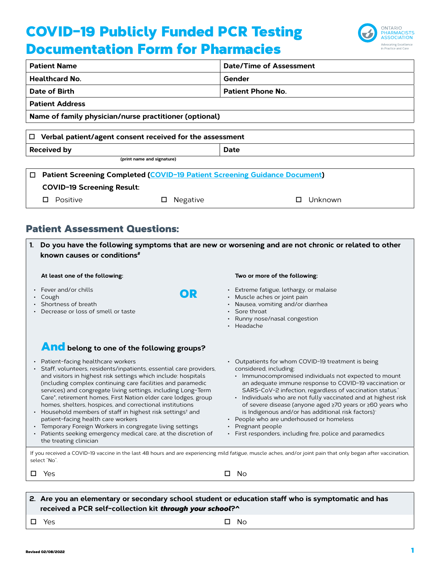# COVID-19 Publicly Funded PCR Testing Documentation Form for Pharmacies



| <b>Patient Name</b>                  |                                                          | <b>Date/Time of Assessment</b>                                                                       |  |  |  |
|--------------------------------------|----------------------------------------------------------|------------------------------------------------------------------------------------------------------|--|--|--|
| <b>Healthcard No.</b>                |                                                          | Gender                                                                                               |  |  |  |
| Date of Birth                        |                                                          | <b>Patient Phone No.</b>                                                                             |  |  |  |
| <b>Patient Address</b>               |                                                          |                                                                                                      |  |  |  |
|                                      | Name of family physician/nurse practitioner (optional)   |                                                                                                      |  |  |  |
| □                                    | Verbal patient/agent consent received for the assessment |                                                                                                      |  |  |  |
| <b>Received by</b><br>Date           |                                                          |                                                                                                      |  |  |  |
|                                      | (print name and signature)                               |                                                                                                      |  |  |  |
| □                                    |                                                          | <b>Patient Screening Completed (COVID-19 Patient Screening Guidance Document)</b>                    |  |  |  |
| <b>COVID-19 Screening Result:</b>    |                                                          |                                                                                                      |  |  |  |
| Positive<br>□                        | Negative<br>□                                            | Unknown<br>п                                                                                         |  |  |  |
|                                      |                                                          |                                                                                                      |  |  |  |
| <b>Patient Assessment Questions:</b> |                                                          |                                                                                                      |  |  |  |
| 1.<br>known causes or conditions#    |                                                          | Do you have the following symptoms that are new or worsening and are not chronic or related to other |  |  |  |

OR

| At least one of the following: |  |  |
|--------------------------------|--|--|
|                                |  |  |

- Fever and/or chills
- Cough
- Shortness of breath
- Decrease or loss of smell or taste

## And **belong to one of the following groups?**

- Patient-facing healthcare workers
- Staff, volunteers, residents/inpatients, essential care providers, and visitors in highest risk settings which include: hospitals (including complex continuing care facilities and paramedic services) and congregate living settings, including Long-Term Care\*, retirement homes, First Nation elder care lodges, group homes, shelters, hospices, and correctional institutions
- Household members of staff in highest risk settings<sup>†</sup> and patient-facing health care workers
- Temporary Foreign Workers in congregate living settings
- Patients seeking emergency medical care, at the discretion of the treating clinician
- **Two or more of the following:**
- Extreme fatigue, lethargy, or malaise
- Muscle aches or joint pain
- Nausea, vomiting and/or diarrhea
- Sore throat
- Runny nose/nasal congestion
- Headache
- Outpatients for whom COVID-19 treatment is being considered, including:
	- Immunocompromised individuals not expected to mount an adequate immune response to COVID-19 vaccination or SARS-CoV-2 infection, regardless of vaccination status.`
	- Individuals who are not fully vaccinated and at highest risk of severe disease (anyone aged ≥70 years or ≥60 years who is Indigenous and/or has additional risk factors)<sup>-</sup>
- People who are underhoused or homeless
- Pregnant people
- First responders, including fire, police and paramedics

If you received a COVID-19 vaccine in the last 48 hours and are experiencing mild fatigue, muscle aches, and/or joint pain that only began after vaccination, select "No".

| $\square$ Yes | $\square$ No |
|---------------|--------------|
|               |              |

| 2. Are you an elementary or secondary school student or education staff who is symptomatic and has |  |
|----------------------------------------------------------------------------------------------------|--|
| received a PCR self-collection kit through your school?^                                           |  |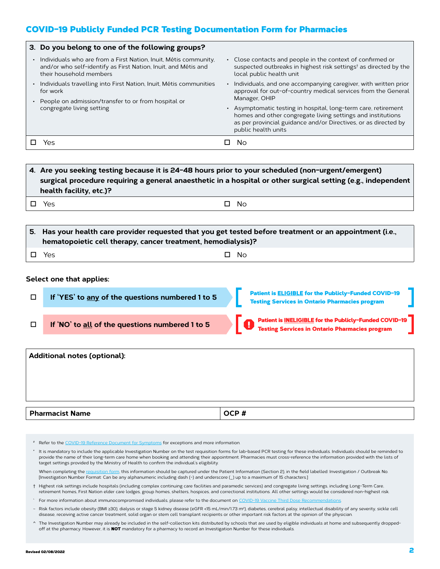## COVID-19 Publicly Funded PCR Testing Documentation Form for Pharmacies

|           | 3. Do you belong to one of the following groups?                                                                                                              |                                                                                                                                                                                                                         |
|-----------|---------------------------------------------------------------------------------------------------------------------------------------------------------------|-------------------------------------------------------------------------------------------------------------------------------------------------------------------------------------------------------------------------|
| $\bullet$ | Individuals who are from a First Nation, Inuit, Métis community,<br>and/or who self-identify as First Nation, Inuit, and Métis and<br>their household members | • Close contacts and people in the context of confirmed or<br>suspected outbreaks in highest risk settings <sup>t</sup> as directed by the<br>local public health unit                                                  |
| $\bullet$ | Individuals travelling into First Nation, Inuit, Métis communities<br>for work<br>People on admission/transfer to or from hospital or                         | Individuals, and one accompanying caregiver, with written prior<br>approval for out-of-country medical services from the General<br>Manager, OHIP                                                                       |
|           | congregate living setting                                                                                                                                     | • Asymptomatic testing in hospital, long-term care, retirement<br>homes and other congregate living settings and institutions<br>as per provincial guidance and/or Directives, or as directed by<br>public health units |
|           | Yes                                                                                                                                                           | No                                                                                                                                                                                                                      |

## **4. Are you seeking testing because it is 24-48 hours prior to your scheduled (non-urgent/emergent) surgical procedure requiring a general anaesthetic in a hospital or other surgical setting (e.g., independent health facility, etc.)?**

 $\Box$  Yes  $\Box$  No

| $\,$ 5. $\,$ Has your health care provider requested that you get tested before treatment or an appointment (i.e.,<br>hematopoietic cell therapy, cancer treatment, hemodialysis)? |           |  |  |  |
|------------------------------------------------------------------------------------------------------------------------------------------------------------------------------------|-----------|--|--|--|
| □ Yes                                                                                                                                                                              | $\Box$ No |  |  |  |

#### **Select one that applies:**

| If 'YES' to any of the questions numbered 1 to 5 | Patient is <b>ELIGIBLE</b> for the Publicly-Funded COVID-19<br><b>Testing Services in Ontario Pharmacies program</b>   |
|--------------------------------------------------|------------------------------------------------------------------------------------------------------------------------|
| If 'NO' to all of the questions numbered 1 to 5  | <b>Patient is INELIGIBLE for the Publicly-Funded COVID-19</b><br><b>Testing Services in Ontario Pharmacies program</b> |

| <b>Additional notes (optional):</b> |      |
|-------------------------------------|------|
|                                     |      |
|                                     |      |
|                                     |      |
| <b>Pharmacist Name</b>              | OCP# |

# Refer to the [COVID-19 Reference Document for Symptoms](https://www.health.gov.on.ca/en/pro/programs/publichealth/coronavirus/docs/2019_reference_doc_symptoms.pdf) for exceptions and more information.

\* It is mandatory to include the applicable Investigation Number on the test requisition forms for lab-based PCR testing for these individuals. Individuals should be reminded to provide the name of their long-term care home when booking and attending their appointment. Pharmacies must cross-reference the information provided with the lists of target settings provided by the Ministry of Health to confirm the individual's eligibility.

When completing the [requisition form,](https://www.publichealthontario.ca/-/media/documents/lab/2019-ncov-test-requisition.pdf?la=en) this information should be captured under the Patient Information (Section 2), in the field labelled: Investigation / Outbreak No. [Investigation Number Format: Can be any alphanumeric including dash (-) and underscore (\_) up to a maximum of 15 characters.]

- † Highest risk settings include hospitals (including complex continuing care facilities and paramedic services) and congregate living settings, including Long-Term Care, retirement homes, First Nation elder care lodges, group homes, shelters, hospices, and correctional institutions. All other settings would be considered non-highest risk.
- ` For more information about immunocompromised individuals, please refer to the document on COVID-19 Vaccine Third D
- ~ Risk factors include obesity (BMI ≥30), dialysis or stage 5 kidney disease (eGFR <15 mL/min/1.73 m2), diabetes, cerebral palsy, intellectual disability of any severity, sickle cell disease, receiving active cancer treatment, solid organ or stem cell transplant recipients or other important risk factors at the opinion of the physician.
- ^ The Investigation Number may already be included in the self-collection kits distributed by schools that are used by eligible individuals at home and subsequently droppedoff at the pharmacy. However, it is **NOT** mandatory for a pharmacy to record an Investigation Number for these individuals.